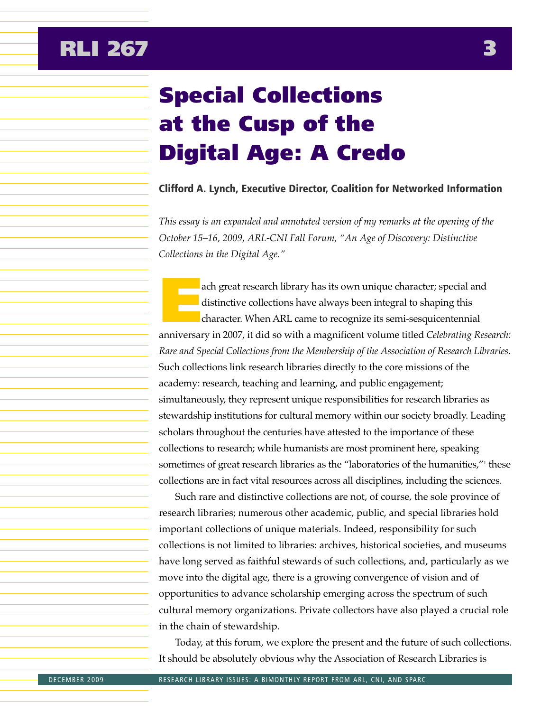## Special Collections at the Cusp of the Digital Age: A Credo

## Clifford A. Lynch, Executive Director, Coalition for Networked Information

*This essay is an expanded and annotated version of my remarks at the opening of the October 15–16, 2009, ARL-CNI Fall Forum, "An Age of Discovery: Distinctive Collections in the Digital Age."* 

ach great research library has its own unique character; special and distinctive collections have always been integral to shaping this character. When ARL came to recognize its semi-sesquicentennial anniversary in 2007, it did so with a magnificent volume titled *Celebrating Research: Rare and Special Collections from the Membership of the Association of Research Libraries*. Such collections link research libraries directly to the core missions of the academy: research, teaching and learning, and public engagement; simultaneously, they represent unique responsibilities for research libraries as stewardship institutions for cultural memory within our society broadly. Leading scholars throughout the centuries have attested to the importance of these collections to research; while humanists are most prominent here, speaking sometimes of great research libraries as the "laboratories of the humanities,"<sup>1</sup> these collections are in fact vital resources across all disciplines, including the sciences.

Such rare and distinctive collections are not, of course, the sole province of research libraries; numerous other academic, public, and special libraries hold important collections of unique materials. Indeed, responsibility for such collections is not limited to libraries: archives, historical societies, and museums have long served as faithful stewards of such collections, and, particularly as we move into the digital age, there is a growing convergence of vision and of opportunities to advance scholarship emerging across the spectrum of such cultural memory organizations. Private collectors have also played a crucial role in the chain of stewardship.

Today, at this forum, we explore the present and the future of such collections. It should be absolutely obvious why the Association of Research Libraries is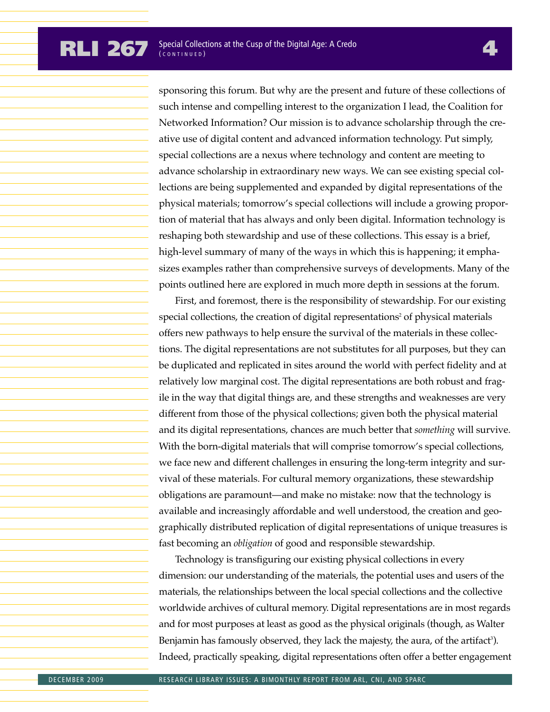sponsoring this forum. But why are the present and future of these collections of such intense and compelling interest to the organization I lead, the Coalition for Networked Information? Our mission is to advance scholarship through the creative use of digital content and advanced information technology. Put simply, special collections are a nexus where technology and content are meeting to advance scholarship in extraordinary new ways. We can see existing special collections are being supplemented and expanded by digital representations of the physical materials; tomorrow's special collections will include a growing proportion of material that has always and only been digital. Information technology is reshaping both stewardship and use of these collections. This essay is a brief, high-level summary of many of the ways in which this is happening; it emphasizes examples rather than comprehensive surveys of developments. Many of the points outlined here are explored in much more depth in sessions at the forum.

First, and foremost, there is the responsibility of stewardship. For our existing special collections, the creation of digital representations<sup>2</sup> of physical materials offers new pathways to help ensure the survival of the materials in these collections. The digital representations are not substitutes for all purposes, but they can be duplicated and replicated in sites around the world with perfect fidelity and at relatively low marginal cost. The digital representations are both robust and fragile in the way that digital things are, and these strengths and weaknesses are very different from those of the physical collections; given both the physical material and its digital representations, chances are much better that *something* will survive. With the born-digital materials that will comprise tomorrow's special collections, we face new and different challenges in ensuring the long-term integrity and survival of these materials. For cultural memory organizations, these stewardship obligations are paramount—and make no mistake: now that the technology is available and increasingly affordable and well understood, the creation and geographically distributed replication of digital representations of unique treasures is fast becoming an *obligation* of good and responsible stewardship.

Technology is transfiguring our existing physical collections in every dimension: our understanding of the materials, the potential uses and users of the materials, the relationships between the local special collections and the collective worldwide archives of cultural memory. Digital representations are in most regards and for most purposes at least as good as the physical originals (though, as Walter Benjamin has famously observed*,* they lack the majesty, the aura, of the artifact<sup>3</sup>). Indeed, practically speaking, digital representations often offer a better engagement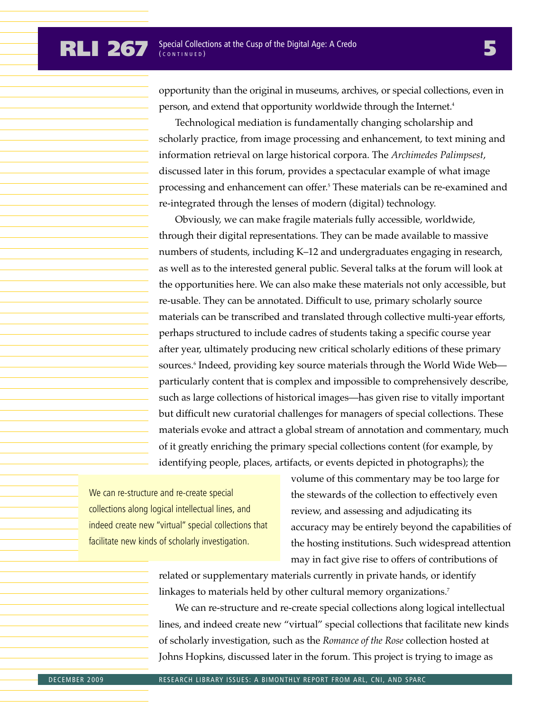opportunity than the original in museums, archives, or special collections, even in person, and extend that opportunity worldwide through the Internet.<sup>4</sup>

Technological mediation is fundamentally changing scholarship and scholarly practice, from image processing and enhancement, to text mining and information retrieval on large historical corpora. The *Archimedes Palimpsest*, discussed later in this forum, provides a spectacular example of what image processing and enhancement can offer.5 These materials can be re-examined and re-integrated through the lenses of modern (digital) technology.

Obviously, we can make fragile materials fully accessible, worldwide, through their digital representations. They can be made available to massive numbers of students, including K–12 and undergraduates engaging in research, as well as to the interested general public. Several talks at the forum will look at the opportunities here. We can also make these materials not only accessible, but re-usable. They can be annotated. Difficult to use, primary scholarly source materials can be transcribed and translated through collective multi-year efforts, perhaps structured to include cadres of students taking a specific course year after year, ultimately producing new critical scholarly editions of these primary sources.<sup>6</sup> Indeed, providing key source materials through the World Wide Web particularly content that is complex and impossible to comprehensively describe, such as large collections of historical images—has given rise to vitally important but difficult new curatorial challenges for managers of special collections. These materials evoke and attract a global stream of annotation and commentary, much of it greatly enriching the primary special collections content (for example, by identifying people, places, artifacts, or events depicted in photographs); the

We can re-structure and re-create special collections along logical intellectual lines, and indeed create new "virtual" special collections that facilitate new kinds of scholarly investigation.

volume of this commentary may be too large for the stewards of the collection to effectively even review, and assessing and adjudicating its accuracy may be entirely beyond the capabilities of the hosting institutions. Such widespread attention may in fact give rise to offers of contributions of

related or supplementary materials currently in private hands, or identify linkages to materials held by other cultural memory organizations.<sup>7</sup>

We can re-structure and re-create special collections along logical intellectual lines, and indeed create new "virtual" special collections that facilitate new kinds of scholarly investigation, such as the *Romance of the Rose* collection hosted at Johns Hopkins, discussed later in the forum. This project is trying to image as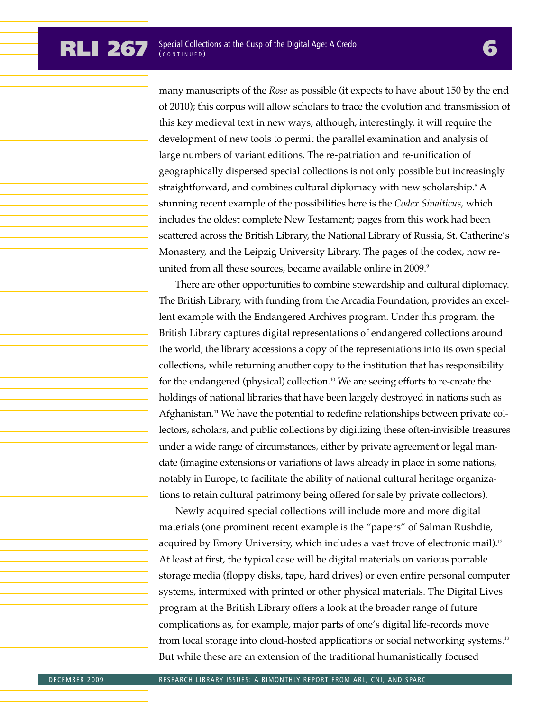many manuscripts of the *Rose* as possible (it expects to have about 150 by the end of 2010); this corpus will allow scholars to trace the evolution and transmission of this key medieval text in new ways, although, interestingly, it will require the development of new tools to permit the parallel examination and analysis of large numbers of variant editions. The re-patriation and re-unification of geographically dispersed special collections is not only possible but increasingly straightforward, and combines cultural diplomacy with new scholarship.<sup>8</sup> A stunning recent example of the possibilities here is the *Codex Sinaiticus*, which includes the oldest complete New Testament; pages from this work had been scattered across the British Library, the National Library of Russia, St. Catherine's Monastery, and the Leipzig University Library. The pages of the codex, now reunited from all these sources, became available online in 2009.<sup>9</sup>

There are other opportunities to combine stewardship and cultural diplomacy. The British Library, with funding from the Arcadia Foundation, provides an excellent example with the Endangered Archives program. Under this program, the British Library captures digital representations of endangered collections around the world; the library accessions a copy of the representations into its own special collections, while returning another copy to the institution that has responsibility for the endangered (physical) collection.<sup>10</sup> We are seeing efforts to re-create the holdings of national libraries that have been largely destroyed in nations such as Afghanistan.<sup>11</sup> We have the potential to redefine relationships between private collectors, scholars, and public collections by digitizing these often-invisible treasures under a wide range of circumstances, either by private agreement or legal mandate (imagine extensions or variations of laws already in place in some nations, notably in Europe, to facilitate the ability of national cultural heritage organizations to retain cultural patrimony being offered for sale by private collectors).

Newly acquired special collections will include more and more digital materials (one prominent recent example is the "papers" of Salman Rushdie, acquired by Emory University, which includes a vast trove of electronic mail).<sup>12</sup> At least at first, the typical case will be digital materials on various portable storage media (floppy disks, tape, hard drives) or even entire personal computer systems, intermixed with printed or other physical materials. The Digital Lives program at the British Library offers a look at the broader range of future complications as, for example, major parts of one's digital life-records move from local storage into cloud-hosted applications or social networking systems.13 But while these are an extension of the traditional humanistically focused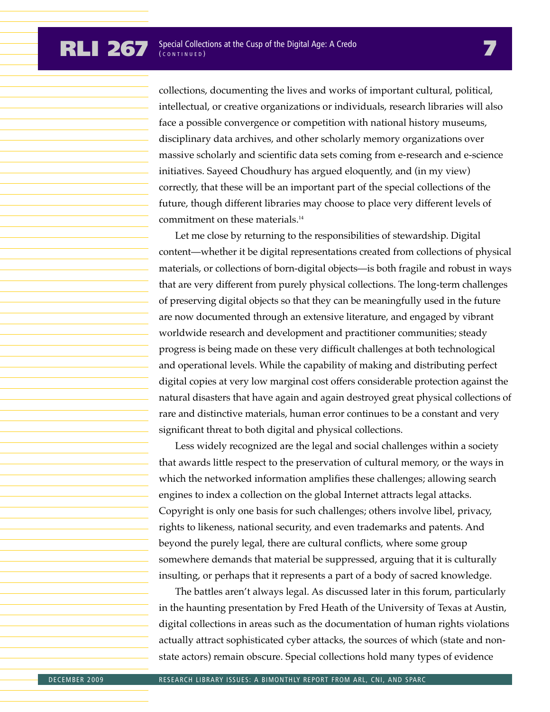collections, documenting the lives and works of important cultural, political, intellectual, or creative organizations or individuals, research libraries will also face a possible convergence or competition with national history museums, disciplinary data archives, and other scholarly memory organizations over massive scholarly and scientific data sets coming from e-research and e-science initiatives. Sayeed Choudhury has argued eloquently, and (in my view) correctly, that these will be an important part of the special collections of the future, though different libraries may choose to place very different levels of commitment on these materials.14

Let me close by returning to the responsibilities of stewardship. Digital content—whether it be digital representations created from collections of physical materials, or collections of born-digital objects—is both fragile and robust in ways that are very different from purely physical collections. The long-term challenges of preserving digital objects so that they can be meaningfully used in the future are now documented through an extensive literature, and engaged by vibrant worldwide research and development and practitioner communities; steady progress is being made on these very difficult challenges at both technological and operational levels. While the capability of making and distributing perfect digital copies at very low marginal cost offers considerable protection against the natural disasters that have again and again destroyed great physical collections of rare and distinctive materials, human error continues to be a constant and very significant threat to both digital and physical collections.

Less widely recognized are the legal and social challenges within a society that awards little respect to the preservation of cultural memory, or the ways in which the networked information amplifies these challenges; allowing search engines to index a collection on the global Internet attracts legal attacks. Copyright is only one basis for such challenges; others involve libel, privacy, rights to likeness, national security, and even trademarks and patents. And beyond the purely legal, there are cultural conflicts, where some group somewhere demands that material be suppressed, arguing that it is culturally insulting, or perhaps that it represents a part of a body of sacred knowledge.

The battles aren't always legal. As discussed later in this forum, particularly in the haunting presentation by Fred Heath of the University of Texas at Austin, digital collections in areas such as the documentation of human rights violations actually attract sophisticated cyber attacks, the sources of which (state and nonstate actors) remain obscure. Special collections hold many types of evidence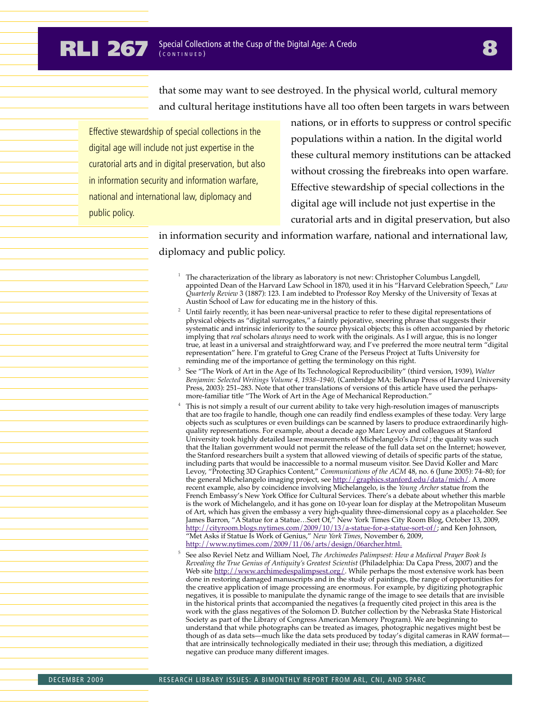## **RLI 267** Special Collections at the Cusp of the Digital Age: A Credo **8**

that some may want to see destroyed. In the physical world, cultural memory and cultural heritage institutions have all too often been targets in wars between

Effective stewardship of special collections in the digital age will include not just expertise in the curatorial arts and in digital preservation, but also in information security and information warfare, national and international law, diplomacy and public policy.

nations, or in efforts to suppress or control specific populations within a nation. In the digital world these cultural memory institutions can be attacked without crossing the firebreaks into open warfare. Effective stewardship of special collections in the digital age will include not just expertise in the curatorial arts and in digital preservation, but also

in information security and information warfare, national and international law, diplomacy and public policy.

- <sup>1</sup> The characterization of the library as laboratory is not new: Christopher Columbus Langdell, appointed Dean of the Harvard Law School in 1870, used it in his "Harvard Celebration Speech," *Law Quarterly Review* 3 (1887): 123. I am indebted to Professor Roy Mersky of the University of Texas at Austin School of Law for educating me in the history of this.
- Until fairly recently, it has been near-universal practice to refer to these digital representations of physical objects as "digital surrogates," a faintly pejorative, sneering phrase that suggests their systematic and intrinsic inferiority to the source physical objects; this is often accompanied by rhetoric implying that *real* scholars *always* need to work with the originals. As I will argue, this is no longer true, at least in a universal and straightforward way, and I've preferred the more neutral term "digital representation" here. I'm grateful to Greg Crane of the Perseus Project at Tufts University for reminding me of the importance of getting the terminology on this right.
- <sup>3</sup> See "The Work of Art in the Age of Its Technological Reproducibility" (third version, 1939), *Walter Benjamin: Selected Writings Volume 4, 1938–1940*, (Cambridge MA: Belknap Press of Harvard University Press, 2003): 251–283. Note that other translations of versions of this article have used the perhapsmore-familiar title "The Work of Art in the Age of Mechanical Reproduction."
- This is not simply a result of our current ability to take very high-resolution images of manuscripts that are too fragile to handle, though one can readily find endless examples of these today. Very large objects such as sculptures or even buildings can be scanned by lasers to produce extraordinarily highquality representations. For example, about a decade ago Marc Levoy and colleagues at Stanford University took highly detailed laser measurements of Michelangelo's *David* ; the quality was such that the Italian government would not permit the release of the full data set on the Internet; however, the Stanford researchers built a system that allowed viewing of details of specific parts of the statue, including parts that would be inaccessible to a normal museum visitor. See David Koller and Marc Levoy, "Protecting 3D Graphics Content," *Communications of the ACM* 48, no. 6 (June 2005): 74–80; for the general Michelangelo imaging project, see http://graphics.stanford.edu/data/mich/. A more recent example, also by coincidence involving Michelangelo, is the *Young Archer* statue from the French Embassy's New York Office for Cultural Services. There's a debate about whether this marble is the work of Michelangelo, and it has gone on 10-year loan for display at the Metropolitan Museum of Art, which has given the embassy a very high-quality three-dimensional copy as a placeholder. See James Barron, "A Statue for a Statue...Sort Of," New York Times City Room Blog, October 13, 2009, http://cityroom.blogs.nytimes.com/2009/10/13/a-statue-for-a-statue-sort-of/; and Ken Johnson, "Met Asks if Statue Is Work of Genius," *New York Times*, November 6, 2009, http://www.nytimes.com/2009/11/06/arts/design/06archer.html.
- <sup>5</sup> See also Reviel Netz and William Noel, *The Archimedes Palimpsest: How a Medieval Prayer Book Is Revealing the True Genius of Antiquity's Greatest Scientist* (Philadelphia: Da Capa Press, 2007) and the Web site http://www.archimedespalimpsest.org/. While perhaps the most extensive work has been done in restoring damaged manuscripts and in the study of paintings, the range of opportunities for the creative application of image processing are enormous. For example, by digitizing photographic negatives, it is possible to manipulate the dynamic range of the image to see details that are invisible in the historical prints that accompanied the negatives (a frequently cited project in this area is the work with the glass negatives of the Solomon D. Butcher collection by the Nebraska State Historical Society as part of the Library of Congress American Memory Program). We are beginning to understand that while photographs can be treated as images, photographic negatives might best be though of as data sets—much like the data sets produced by today's digital cameras in RAW format that are intrinsically technologically mediated in their use; through this mediation, a digitized negative can produce many different images.